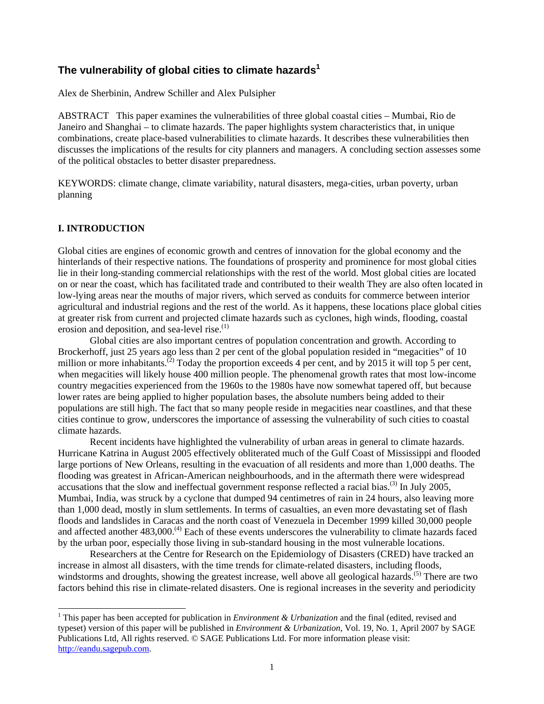# **The vulnerability of global cities to climate hazards1**

Alex de Sherbinin, Andrew Schiller and Alex Pulsipher

ABSTRACT This paper examines the vulnerabilities of three global coastal cities – Mumbai, Rio de Janeiro and Shanghai – to climate hazards. The paper highlights system characteristics that, in unique combinations, create place-based vulnerabilities to climate hazards. It describes these vulnerabilities then discusses the implications of the results for city planners and managers. A concluding section assesses some of the political obstacles to better disaster preparedness.

KEYWORDS: climate change, climate variability, natural disasters, mega-cities, urban poverty, urban planning

## **I. INTRODUCTION**

Global cities are engines of economic growth and centres of innovation for the global economy and the hinterlands of their respective nations. The foundations of prosperity and prominence for most global cities lie in their long-standing commercial relationships with the rest of the world. Most global cities are located on or near the coast, which has facilitated trade and contributed to their wealth They are also often located in low-lying areas near the mouths of major rivers, which served as conduits for commerce between interior agricultural and industrial regions and the rest of the world. As it happens, these locations place global cities at greater risk from current and projected climate hazards such as cyclones, high winds, flooding, coastal erosion and deposition, and sea-level rise. $<sup>(1)</sup>$ </sup>

Global cities are also important centres of population concentration and growth. According to Brockerhoff, just 25 years ago less than 2 per cent of the global population resided in "megacities" of 10 million or more inhabitants.<sup>(2)</sup> Today the proportion exceeds 4 per cent, and by 2015 it will top 5 per cent, when megacities will likely house 400 million people. The phenomenal growth rates that most low-income country megacities experienced from the 1960s to the 1980s have now somewhat tapered off, but because lower rates are being applied to higher population bases, the absolute numbers being added to their populations are still high. The fact that so many people reside in megacities near coastlines, and that these cities continue to grow, underscores the importance of assessing the vulnerability of such cities to coastal climate hazards.

Recent incidents have highlighted the vulnerability of urban areas in general to climate hazards. Hurricane Katrina in August 2005 effectively obliterated much of the Gulf Coast of Mississippi and flooded large portions of New Orleans, resulting in the evacuation of all residents and more than 1,000 deaths. The flooding was greatest in African-American neighbourhoods, and in the aftermath there were widespread accusations that the slow and ineffectual government response reflected a racial bias.<sup>(3)</sup> In July 2005, Mumbai, India, was struck by a cyclone that dumped 94 centimetres of rain in 24 hours, also leaving more than 1,000 dead, mostly in slum settlements. In terms of casualties, an even more devastating set of flash floods and landslides in Caracas and the north coast of Venezuela in December 1999 killed 30,000 people and affected another 483,000.<sup>(4)</sup> Each of these events underscores the vulnerability to climate hazards faced by the urban poor, especially those living in sub-standard housing in the most vulnerable locations.

Researchers at the Centre for Research on the Epidemiology of Disasters (CRED) have tracked an increase in almost all disasters, with the time trends for climate-related disasters, including floods, windstorms and droughts, showing the greatest increase, well above all geological hazards.<sup>(5)</sup> There are two factors behind this rise in climate-related disasters. One is regional increases in the severity and periodicity

 1 This paper has been accepted for publication in *Environment & Urbanization* and the final (edited, revised and typeset) version of this paper will be published in *Environment & Urbanization*, Vol. 19, No. 1, April 2007 by SAGE Publications Ltd, All rights reserved. © SAGE Publications Ltd. For more information please visit: http://eandu.sagepub.com.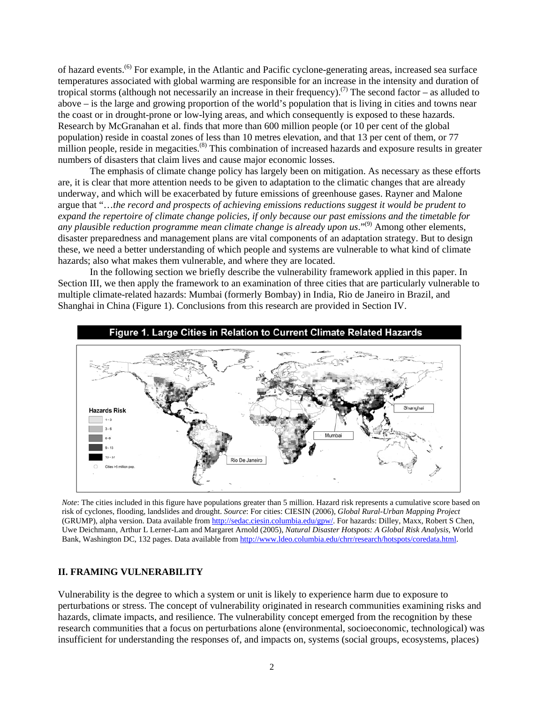of hazard events.(6) For example, in the Atlantic and Pacific cyclone-generating areas, increased sea surface temperatures associated with global warming are responsible for an increase in the intensity and duration of tropical storms (although not necessarily an increase in their frequency).<sup>(7)</sup> The second factor – as alluded to above – is the large and growing proportion of the world's population that is living in cities and towns near the coast or in drought-prone or low-lying areas, and which consequently is exposed to these hazards. Research by McGranahan et al. finds that more than 600 million people (or 10 per cent of the global population) reside in coastal zones of less than 10 metres elevation, and that 13 per cent of them, or 77 million people, reside in megacities.<sup>(8)</sup> This combination of increased hazards and exposure results in greater numbers of disasters that claim lives and cause major economic losses.

The emphasis of climate change policy has largely been on mitigation. As necessary as these efforts are, it is clear that more attention needs to be given to adaptation to the climatic changes that are already underway, and which will be exacerbated by future emissions of greenhouse gases. Rayner and Malone argue that "…*the record and prospects of achieving emissions reductions suggest it would be prudent to expand the repertoire of climate change policies, if only because our past emissions and the timetable for any plausible reduction programme mean climate change is already upon us*."(9) Among other elements, disaster preparedness and management plans are vital components of an adaptation strategy. But to design these, we need a better understanding of which people and systems are vulnerable to what kind of climate hazards; also what makes them vulnerable, and where they are located.

In the following section we briefly describe the vulnerability framework applied in this paper. In Section III, we then apply the framework to an examination of three cities that are particularly vulnerable to multiple climate-related hazards: Mumbai (formerly Bombay) in India, Rio de Janeiro in Brazil, and Shanghai in China (Figure 1). Conclusions from this research are provided in Section IV.



*Note*: The cities included in this figure have populations greater than 5 million. Hazard risk represents a cumulative score based on risk of cyclones, flooding, landslides and drought. *Source*: For cities: CIESIN (2006), *Global Rural-Urban Mapping Project* (GRUMP), alpha version. Data available from http://sedac.ciesin.columbia.edu/gpw/. For hazards: Dilley, Maxx, Robert S Chen, Uwe Deichmann, Arthur L Lerner-Lam and Margaret Arnold (2005), *Natural Disaster Hotspots: A Global Risk Analysis*, World Bank, Washington DC, 132 pages. Data available from http://www.ldeo.columbia.edu/chrr/research/hotspots/coredata.html.

# **II. FRAMING VULNERABILITY**

Vulnerability is the degree to which a system or unit is likely to experience harm due to exposure to perturbations or stress. The concept of vulnerability originated in research communities examining risks and hazards, climate impacts, and resilience. The vulnerability concept emerged from the recognition by these research communities that a focus on perturbations alone (environmental, socioeconomic, technological) was insufficient for understanding the responses of, and impacts on, systems (social groups, ecosystems, places)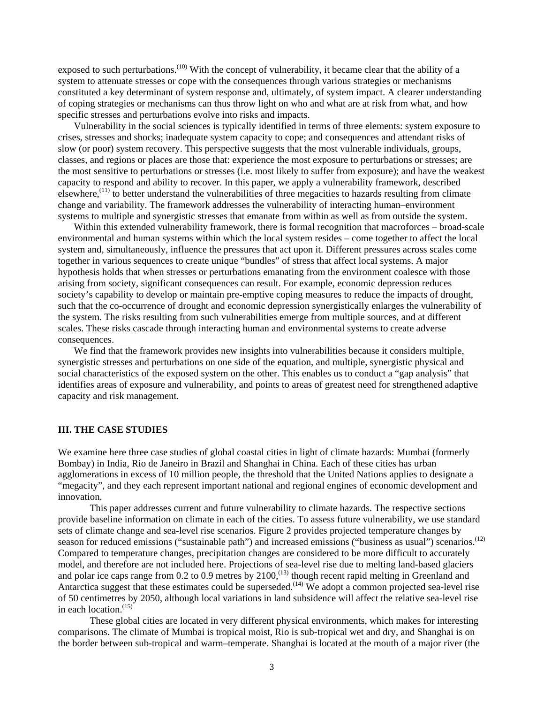exposed to such perturbations.<sup>(10)</sup> With the concept of vulnerability, it became clear that the ability of a system to attenuate stresses or cope with the consequences through various strategies or mechanisms constituted a key determinant of system response and, ultimately, of system impact. A clearer understanding of coping strategies or mechanisms can thus throw light on who and what are at risk from what, and how specific stresses and perturbations evolve into risks and impacts.

Vulnerability in the social sciences is typically identified in terms of three elements: system exposure to crises, stresses and shocks; inadequate system capacity to cope; and consequences and attendant risks of slow (or poor) system recovery. This perspective suggests that the most vulnerable individuals, groups, classes, and regions or places are those that: experience the most exposure to perturbations or stresses; are the most sensitive to perturbations or stresses (i.e. most likely to suffer from exposure); and have the weakest capacity to respond and ability to recover. In this paper, we apply a vulnerability framework, described elsewhere,<sup>(11)</sup> to better understand the vulnerabilities of three megacities to hazards resulting from climate change and variability. The framework addresses the vulnerability of interacting human–environment systems to multiple and synergistic stresses that emanate from within as well as from outside the system.

Within this extended vulnerability framework, there is formal recognition that macroforces – broad-scale environmental and human systems within which the local system resides – come together to affect the local system and, simultaneously, influence the pressures that act upon it. Different pressures across scales come together in various sequences to create unique "bundles" of stress that affect local systems. A major hypothesis holds that when stresses or perturbations emanating from the environment coalesce with those arising from society, significant consequences can result. For example, economic depression reduces society's capability to develop or maintain pre-emptive coping measures to reduce the impacts of drought, such that the co-occurrence of drought and economic depression synergistically enlarges the vulnerability of the system. The risks resulting from such vulnerabilities emerge from multiple sources, and at different scales. These risks cascade through interacting human and environmental systems to create adverse consequences.

We find that the framework provides new insights into vulnerabilities because it considers multiple, synergistic stresses and perturbations on one side of the equation, and multiple, synergistic physical and social characteristics of the exposed system on the other. This enables us to conduct a "gap analysis" that identifies areas of exposure and vulnerability, and points to areas of greatest need for strengthened adaptive capacity and risk management.

#### **III. THE CASE STUDIES**

We examine here three case studies of global coastal cities in light of climate hazards: Mumbai (formerly Bombay) in India, Rio de Janeiro in Brazil and Shanghai in China. Each of these cities has urban agglomerations in excess of 10 million people, the threshold that the United Nations applies to designate a "megacity", and they each represent important national and regional engines of economic development and innovation.

This paper addresses current and future vulnerability to climate hazards. The respective sections provide baseline information on climate in each of the cities. To assess future vulnerability, we use standard sets of climate change and sea-level rise scenarios. Figure 2 provides projected temperature changes by season for reduced emissions ("sustainable path") and increased emissions ("business as usual") scenarios.<sup>(12)</sup> Compared to temperature changes, precipitation changes are considered to be more difficult to accurately model, and therefore are not included here. Projections of sea-level rise due to melting land-based glaciers and polar ice caps range from 0.2 to 0.9 metres by  $2100$ ,<sup>(13)</sup> though recent rapid melting in Greenland and Antarctica suggest that these estimates could be superseded.<sup>(14)</sup> We adopt a common projected sea-level rise of 50 centimetres by 2050, although local variations in land subsidence will affect the relative sea-level rise in each location. $(15)$ 

These global cities are located in very different physical environments, which makes for interesting comparisons. The climate of Mumbai is tropical moist, Rio is sub-tropical wet and dry, and Shanghai is on the border between sub-tropical and warm–temperate. Shanghai is located at the mouth of a major river (the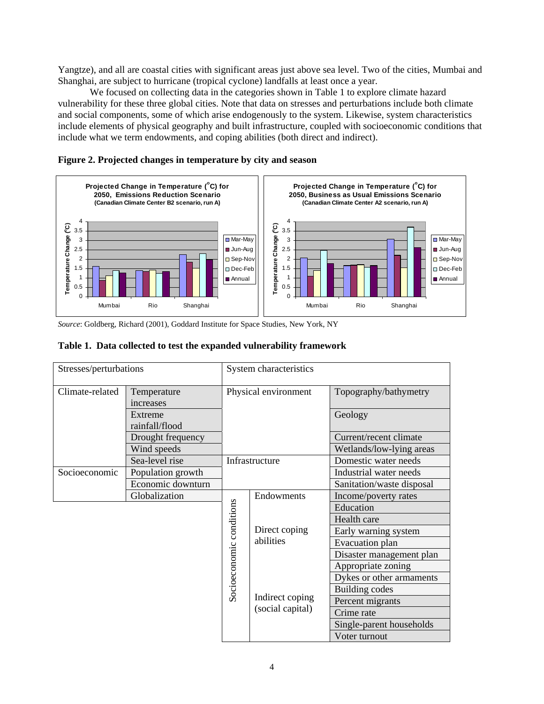Yangtze), and all are coastal cities with significant areas just above sea level. Two of the cities, Mumbai and Shanghai, are subject to hurricane (tropical cyclone) landfalls at least once a year.

We focused on collecting data in the categories shown in Table 1 to explore climate hazard vulnerability for these three global cities. Note that data on stresses and perturbations include both climate and social components, some of which arise endogenously to the system. Likewise, system characteristics include elements of physical geography and built infrastructure, coupled with socioeconomic conditions that include what we term endowments, and coping abilities (both direct and indirect).





*Source*: Goldberg, Richard (2001), Goddard Institute for Space Studies, New York, NY

## **Table 1. Data collected to test the expanded vulnerability framework**

| Stresses/perturbations |                           | System characteristics                 |                            |                           |
|------------------------|---------------------------|----------------------------------------|----------------------------|---------------------------|
| Climate-related        | Temperature<br>increases  | Physical environment<br>Infrastructure |                            | Topography/bathymetry     |
|                        | Extreme<br>rainfall/flood |                                        |                            | Geology                   |
|                        | Drought frequency         |                                        |                            | Current/recent climate    |
|                        | Wind speeds               |                                        |                            | Wetlands/low-lying areas  |
|                        | Sea-level rise            |                                        |                            | Domestic water needs      |
| Socioeconomic          | Population growth         |                                        |                            | Industrial water needs    |
|                        | Economic downturn         |                                        |                            | Sanitation/waste disposal |
|                        | Globalization             |                                        | Endowments                 | Income/poverty rates      |
|                        |                           | Socioeconomic conditions               | Direct coping<br>abilities | Education                 |
|                        |                           |                                        |                            | Health care               |
|                        |                           |                                        |                            | Early warning system      |
|                        |                           |                                        |                            | Evacuation plan           |
|                        |                           |                                        |                            | Disaster management plan  |
|                        |                           |                                        |                            | Appropriate zoning        |
|                        |                           |                                        |                            | Dykes or other armaments  |
|                        |                           |                                        |                            | <b>Building codes</b>     |
|                        |                           |                                        | Indirect coping            | Percent migrants          |
|                        |                           |                                        | (social capital)           | Crime rate                |
|                        |                           |                                        |                            | Single-parent households  |
|                        |                           |                                        |                            | Voter turnout             |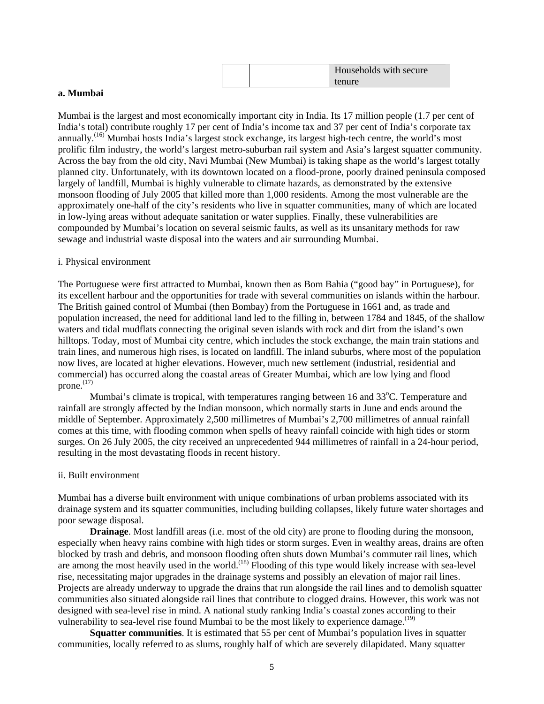|  | Households with secure |
|--|------------------------|
|  | tenure                 |

## **a. Mumbai**

Mumbai is the largest and most economically important city in India. Its 17 million people (1.7 per cent of India's total) contribute roughly 17 per cent of India's income tax and 37 per cent of India's corporate tax annually.<sup>(16)</sup> Mumbai hosts India's largest stock exchange, its largest high-tech centre, the world's most prolific film industry, the world's largest metro-suburban rail system and Asia's largest squatter community. Across the bay from the old city, Navi Mumbai (New Mumbai) is taking shape as the world's largest totally planned city. Unfortunately, with its downtown located on a flood-prone, poorly drained peninsula composed largely of landfill, Mumbai is highly vulnerable to climate hazards, as demonstrated by the extensive monsoon flooding of July 2005 that killed more than 1,000 residents. Among the most vulnerable are the approximately one-half of the city's residents who live in squatter communities, many of which are located in low-lying areas without adequate sanitation or water supplies. Finally, these vulnerabilities are compounded by Mumbai's location on several seismic faults, as well as its unsanitary methods for raw sewage and industrial waste disposal into the waters and air surrounding Mumbai.

### i. Physical environment

The Portuguese were first attracted to Mumbai, known then as Bom Bahia ("good bay" in Portuguese), for its excellent harbour and the opportunities for trade with several communities on islands within the harbour. The British gained control of Mumbai (then Bombay) from the Portuguese in 1661 and, as trade and population increased, the need for additional land led to the filling in, between 1784 and 1845, of the shallow waters and tidal mudflats connecting the original seven islands with rock and dirt from the island's own hilltops. Today, most of Mumbai city centre, which includes the stock exchange, the main train stations and train lines, and numerous high rises, is located on landfill. The inland suburbs, where most of the population now lives, are located at higher elevations. However, much new settlement (industrial, residential and commercial) has occurred along the coastal areas of Greater Mumbai, which are low lying and flood prone. $(17)$ 

Mumbai's climate is tropical, with temperatures ranging between 16 and 33°C. Temperature and rainfall are strongly affected by the Indian monsoon, which normally starts in June and ends around the middle of September. Approximately 2,500 millimetres of Mumbai's 2,700 millimetres of annual rainfall comes at this time, with flooding common when spells of heavy rainfall coincide with high tides or storm surges. On 26 July 2005, the city received an unprecedented 944 millimetres of rainfall in a 24-hour period, resulting in the most devastating floods in recent history.

### ii. Built environment

Mumbai has a diverse built environment with unique combinations of urban problems associated with its drainage system and its squatter communities, including building collapses, likely future water shortages and poor sewage disposal.

**Drainage**. Most landfill areas (i.e. most of the old city) are prone to flooding during the monsoon, especially when heavy rains combine with high tides or storm surges. Even in wealthy areas, drains are often blocked by trash and debris, and monsoon flooding often shuts down Mumbai's commuter rail lines, which are among the most heavily used in the world.<sup>(18)</sup> Flooding of this type would likely increase with sea-level rise, necessitating major upgrades in the drainage systems and possibly an elevation of major rail lines. Projects are already underway to upgrade the drains that run alongside the rail lines and to demolish squatter communities also situated alongside rail lines that contribute to clogged drains. However, this work was not designed with sea-level rise in mind. A national study ranking India's coastal zones according to their vulnerability to sea-level rise found Mumbai to be the most likely to experience damage.<sup> $(19)$ </sup>

**Squatter communities**. It is estimated that 55 per cent of Mumbai's population lives in squatter communities, locally referred to as slums, roughly half of which are severely dilapidated. Many squatter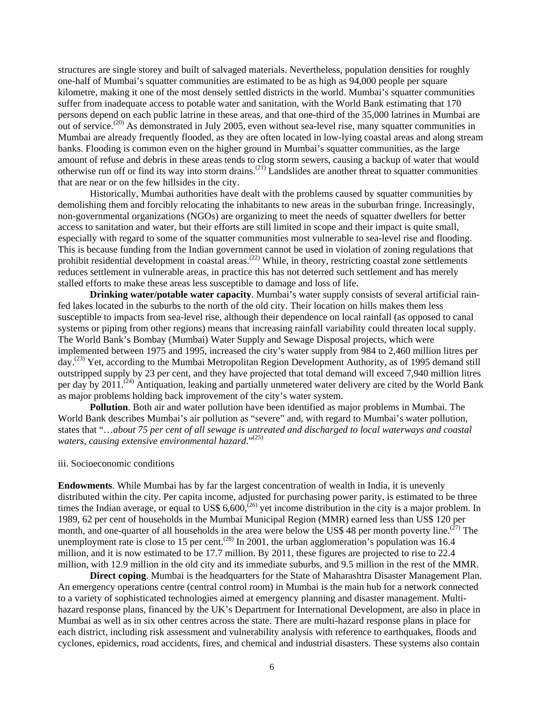structures are single storey and built of salvaged materials. Nevertheless, population densities for roughly one-half of Mumbai's squatter communities are estimated to be as high as 94,000 people per square kilometre, making it one of the most densely settled districts in the world. Mumbai's squatter communities suffer from inadequate access to potable water and sanitation, with the World Bank estimating that 170 persons depend on each public latrine in these areas, and that one-third of the 35,000 latrines in Mumbai are out of service.<sup>(20)</sup> As demonstrated in July 2005, even without sea-level rise, many squatter communities in Mumbai are already frequently flooded, as they are often located in low-lying coastal areas and along stream banks. Flooding is common even on the higher ground in Mumbai's squatter communities, as the large amount of refuse and debris in these areas tends to clog storm sewers, causing a backup of water that would otherwise run off or find its way into storm drains.<sup>(21)</sup> Landslides are another threat to squatter communities that are near or on the few hillsides in the city.

Historically, Mumbai authorities have dealt with the problems caused by squatter communities by demolishing them and forcibly relocating the inhabitants to new areas in the suburban fringe. Increasingly, non-governmental organizations (NGOs) are organizing to meet the needs of squatter dwellers for better access to sanitation and water, but their efforts are still limited in scope and their impact is quite small, especially with regard to some of the squatter communities most vulnerable to sea-level rise and flooding. This is because funding from the Indian government cannot be used in violation of zoning regulations that prohibit residential development in coastal areas.<sup>(22)</sup> While, in theory, restricting coastal zone settlements reduces settlement in vulnerable areas, in practice this has not deterred such settlement and has merely stalled efforts to make these areas less susceptible to damage and loss of life.

**Drinking water/potable water capacity**. Mumbai's water supply consists of several artificial rainfed lakes located in the suburbs to the north of the old city. Their location on hills makes them less susceptible to impacts from sea-level rise, although their dependence on local rainfall (as opposed to canal systems or piping from other regions) means that increasing rainfall variability could threaten local supply. The World Bank's Bombay (Mumbai) Water Supply and Sewage Disposal projects, which were implemented between 1975 and 1995, increased the city's water supply from 984 to 2,460 million litres per day.<sup>(23)</sup> Yet, according to the Mumbai Metropolitan Region Development Authority, as of 1995 demand still outstripped supply by 23 per cent, and they have projected that total demand will exceed 7,940 million litres per day by  $2011$ .<sup>(24)</sup> Antiquation, leaking and partially unmetered water delivery are cited by the World Bank as major problems holding back improvement of the city's water system.

**Pollution**. Both air and water pollution have been identified as major problems in Mumbai. The World Bank describes Mumbai's air pollution as "severe" and, with regard to Mumbai's water pollution, states that "…*about 75 per cent of all sewage is untreated and discharged to local waterways and coastal*  waters, causing extensive environmental hazard."<sup>(25)</sup>

#### iii. Socioeconomic conditions

**Endowments**. While Mumbai has by far the largest concentration of wealth in India, it is unevenly distributed within the city. Per capita income, adjusted for purchasing power parity, is estimated to be three times the Indian average, or equal to US\$ 6,600,<sup> $(26)$ </sup> yet income distribution in the city is a major problem. In 1989, 62 per cent of households in the Mumbai Municipal Region (MMR) earned less than US\$ 120 per month, and one-quarter of all households in the area were below the US\$ 48 per month poverty line.<sup>(27)</sup> The unemployment rate is close to 15 per cent.<sup> $(28)$ </sup> In 2001, the urban agglomeration's population was 16.4 million, and it is now estimated to be 17.7 million. By 2011, these figures are projected to rise to 22.4 million, with 12.9 million in the old city and its immediate suburbs, and 9.5 million in the rest of the MMR.

**Direct coping**. Mumbai is the headquarters for the State of Maharashtra Disaster Management Plan. An emergency operations centre (central control room) in Mumbai is the main hub for a network connected to a variety of sophisticated technologies aimed at emergency planning and disaster management. Multihazard response plans, financed by the UK's Department for International Development, are also in place in Mumbai as well as in six other centres across the state. There are multi-hazard response plans in place for each district, including risk assessment and vulnerability analysis with reference to earthquakes, floods and cyclones, epidemics, road accidents, fires, and chemical and industrial disasters. These systems also contain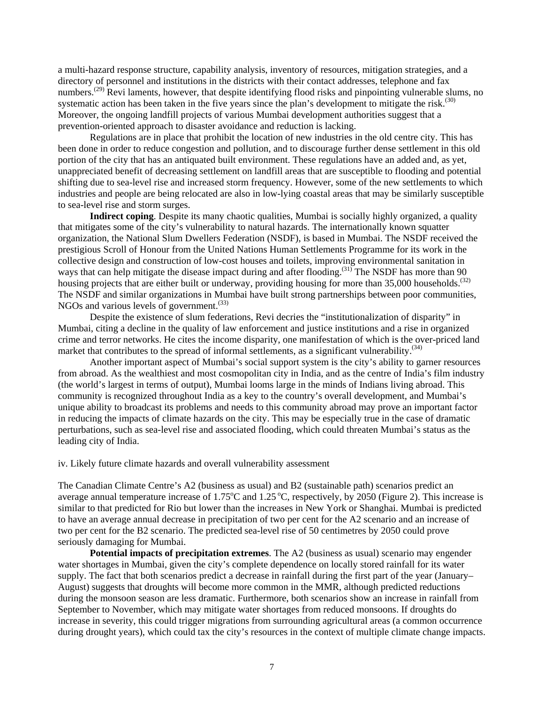a multi-hazard response structure, capability analysis, inventory of resources, mitigation strategies, and a directory of personnel and institutions in the districts with their contact addresses, telephone and fax numbers.<sup>(29)</sup> Revi laments, however, that despite identifying flood risks and pinpointing vulnerable slums, no systematic action has been taken in the five years since the plan's development to mitigate the risk.<sup>(30)</sup> Moreover, the ongoing landfill projects of various Mumbai development authorities suggest that a prevention-oriented approach to disaster avoidance and reduction is lacking.

Regulations are in place that prohibit the location of new industries in the old centre city. This has been done in order to reduce congestion and pollution, and to discourage further dense settlement in this old portion of the city that has an antiquated built environment. These regulations have an added and, as yet, unappreciated benefit of decreasing settlement on landfill areas that are susceptible to flooding and potential shifting due to sea-level rise and increased storm frequency. However, some of the new settlements to which industries and people are being relocated are also in low-lying coastal areas that may be similarly susceptible to sea-level rise and storm surges.

**Indirect coping.** Despite its many chaotic qualities, Mumbai is socially highly organized, a quality that mitigates some of the city's vulnerability to natural hazards. The internationally known squatter organization, the National Slum Dwellers Federation (NSDF), is based in Mumbai. The NSDF received the prestigious Scroll of Honour from the United Nations Human Settlements Programme for its work in the collective design and construction of low-cost houses and toilets, improving environmental sanitation in ways that can help mitigate the disease impact during and after flooding.<sup>(31)</sup> The NSDF has more than 90 housing projects that are either built or underway, providing housing for more than 35,000 households.<sup>(32)</sup> The NSDF and similar organizations in Mumbai have built strong partnerships between poor communities, NGOs and various levels of government.<sup>(33)</sup>

Despite the existence of slum federations, Revi decries the "institutionalization of disparity" in Mumbai, citing a decline in the quality of law enforcement and justice institutions and a rise in organized crime and terror networks. He cites the income disparity, one manifestation of which is the over-priced land market that contributes to the spread of informal settlements, as a significant vulnerability.<sup> $(34)$ </sup>

Another important aspect of Mumbai's social support system is the city's ability to garner resources from abroad. As the wealthiest and most cosmopolitan city in India, and as the centre of India's film industry (the world's largest in terms of output), Mumbai looms large in the minds of Indians living abroad. This community is recognized throughout India as a key to the country's overall development, and Mumbai's unique ability to broadcast its problems and needs to this community abroad may prove an important factor in reducing the impacts of climate hazards on the city. This may be especially true in the case of dramatic perturbations, such as sea-level rise and associated flooding, which could threaten Mumbai's status as the leading city of India.

iv. Likely future climate hazards and overall vulnerability assessment

The Canadian Climate Centre's A2 (business as usual) and B2 (sustainable path) scenarios predict an average annual temperature increase of 1.75 $\degree$ C and 1.25 $\degree$ C, respectively, by 2050 (Figure 2). This increase is similar to that predicted for Rio but lower than the increases in New York or Shanghai. Mumbai is predicted to have an average annual decrease in precipitation of two per cent for the A2 scenario and an increase of two per cent for the B2 scenario. The predicted sea-level rise of 50 centimetres by 2050 could prove seriously damaging for Mumbai.

**Potential impacts of precipitation extremes**. The A2 (business as usual) scenario may engender water shortages in Mumbai, given the city's complete dependence on locally stored rainfall for its water supply. The fact that both scenarios predict a decrease in rainfall during the first part of the year (January– August) suggests that droughts will become more common in the MMR, although predicted reductions during the monsoon season are less dramatic. Furthermore, both scenarios show an increase in rainfall from September to November, which may mitigate water shortages from reduced monsoons. If droughts do increase in severity, this could trigger migrations from surrounding agricultural areas (a common occurrence during drought years), which could tax the city's resources in the context of multiple climate change impacts.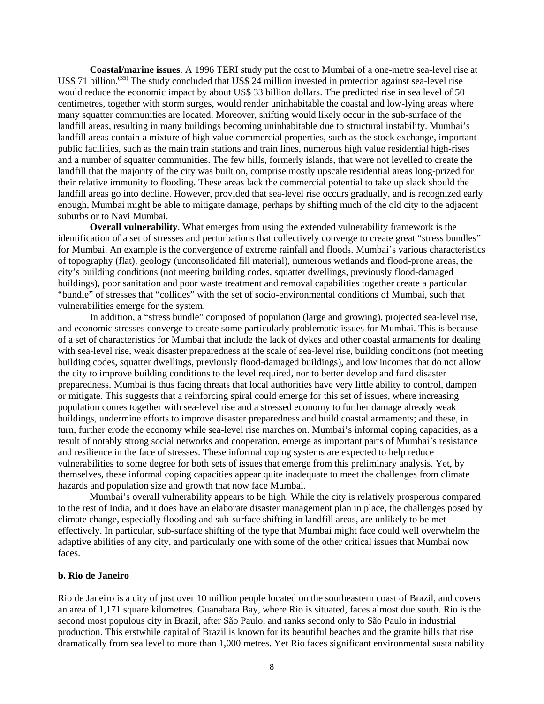**Coastal/marine issues**. A 1996 TERI study put the cost to Mumbai of a one-metre sea-level rise at US\$ 71 billion.<sup>(35)</sup> The study concluded that US\$ 24 million invested in protection against sea-level rise would reduce the economic impact by about US\$ 33 billion dollars. The predicted rise in sea level of 50 centimetres, together with storm surges, would render uninhabitable the coastal and low-lying areas where many squatter communities are located. Moreover, shifting would likely occur in the sub-surface of the landfill areas, resulting in many buildings becoming uninhabitable due to structural instability. Mumbai's landfill areas contain a mixture of high value commercial properties, such as the stock exchange, important public facilities, such as the main train stations and train lines, numerous high value residential high-rises and a number of squatter communities. The few hills, formerly islands, that were not levelled to create the landfill that the majority of the city was built on, comprise mostly upscale residential areas long-prized for their relative immunity to flooding. These areas lack the commercial potential to take up slack should the landfill areas go into decline. However, provided that sea-level rise occurs gradually, and is recognized early enough, Mumbai might be able to mitigate damage, perhaps by shifting much of the old city to the adjacent suburbs or to Navi Mumbai.

**Overall vulnerability**. What emerges from using the extended vulnerability framework is the identification of a set of stresses and perturbations that collectively converge to create great "stress bundles" for Mumbai. An example is the convergence of extreme rainfall and floods. Mumbai's various characteristics of topography (flat), geology (unconsolidated fill material), numerous wetlands and flood-prone areas, the city's building conditions (not meeting building codes, squatter dwellings, previously flood-damaged buildings), poor sanitation and poor waste treatment and removal capabilities together create a particular "bundle" of stresses that "collides" with the set of socio-environmental conditions of Mumbai, such that vulnerabilities emerge for the system.

In addition, a "stress bundle" composed of population (large and growing), projected sea-level rise, and economic stresses converge to create some particularly problematic issues for Mumbai. This is because of a set of characteristics for Mumbai that include the lack of dykes and other coastal armaments for dealing with sea-level rise, weak disaster preparedness at the scale of sea-level rise, building conditions (not meeting building codes, squatter dwellings, previously flood-damaged buildings), and low incomes that do not allow the city to improve building conditions to the level required, nor to better develop and fund disaster preparedness. Mumbai is thus facing threats that local authorities have very little ability to control, dampen or mitigate. This suggests that a reinforcing spiral could emerge for this set of issues, where increasing population comes together with sea-level rise and a stressed economy to further damage already weak buildings, undermine efforts to improve disaster preparedness and build coastal armaments; and these, in turn, further erode the economy while sea-level rise marches on. Mumbai's informal coping capacities, as a result of notably strong social networks and cooperation, emerge as important parts of Mumbai's resistance and resilience in the face of stresses. These informal coping systems are expected to help reduce vulnerabilities to some degree for both sets of issues that emerge from this preliminary analysis. Yet, by themselves, these informal coping capacities appear quite inadequate to meet the challenges from climate hazards and population size and growth that now face Mumbai.

Mumbai's overall vulnerability appears to be high. While the city is relatively prosperous compared to the rest of India, and it does have an elaborate disaster management plan in place, the challenges posed by climate change, especially flooding and sub-surface shifting in landfill areas, are unlikely to be met effectively. In particular, sub-surface shifting of the type that Mumbai might face could well overwhelm the adaptive abilities of any city, and particularly one with some of the other critical issues that Mumbai now faces.

### **b. Rio de Janeiro**

Rio de Janeiro is a city of just over 10 million people located on the southeastern coast of Brazil, and covers an area of 1,171 square kilometres. Guanabara Bay, where Rio is situated, faces almost due south. Rio is the second most populous city in Brazil, after São Paulo, and ranks second only to São Paulo in industrial production. This erstwhile capital of Brazil is known for its beautiful beaches and the granite hills that rise dramatically from sea level to more than 1,000 metres. Yet Rio faces significant environmental sustainability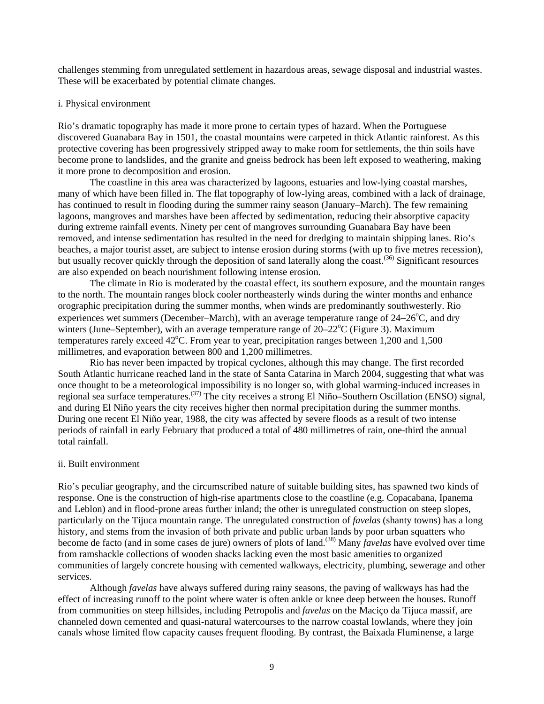challenges stemming from unregulated settlement in hazardous areas, sewage disposal and industrial wastes. These will be exacerbated by potential climate changes.

#### i. Physical environment

Rio's dramatic topography has made it more prone to certain types of hazard. When the Portuguese discovered Guanabara Bay in 1501, the coastal mountains were carpeted in thick Atlantic rainforest. As this protective covering has been progressively stripped away to make room for settlements, the thin soils have become prone to landslides, and the granite and gneiss bedrock has been left exposed to weathering, making it more prone to decomposition and erosion.

The coastline in this area was characterized by lagoons, estuaries and low-lying coastal marshes, many of which have been filled in. The flat topography of low-lying areas, combined with a lack of drainage, has continued to result in flooding during the summer rainy season (January–March). The few remaining lagoons, mangroves and marshes have been affected by sedimentation, reducing their absorptive capacity during extreme rainfall events. Ninety per cent of mangroves surrounding Guanabara Bay have been removed, and intense sedimentation has resulted in the need for dredging to maintain shipping lanes. Rio's beaches, a major tourist asset, are subject to intense erosion during storms (with up to five metres recession), but usually recover quickly through the deposition of sand laterally along the coast.<sup>(36)</sup> Significant resources are also expended on beach nourishment following intense erosion.

The climate in Rio is moderated by the coastal effect, its southern exposure, and the mountain ranges to the north. The mountain ranges block cooler northeasterly winds during the winter months and enhance orographic precipitation during the summer months, when winds are predominantly southwesterly. Rio experiences wet summers (December–March), with an average temperature range of 24–26°C, and dry winters (June–September), with an average temperature range of  $20-22$ °C (Figure 3). Maximum temperatures rarely exceed 42°C. From year to year, precipitation ranges between 1,200 and 1,500 millimetres, and evaporation between 800 and 1,200 millimetres.

Rio has never been impacted by tropical cyclones, although this may change. The first recorded South Atlantic hurricane reached land in the state of Santa Catarina in March 2004, suggesting that what was once thought to be a meteorological impossibility is no longer so, with global warming-induced increases in regional sea surface temperatures.(37) The city receives a strong El Niño–Southern Oscillation (ENSO) signal, and during El Niño years the city receives higher then normal precipitation during the summer months. During one recent El Niño year, 1988, the city was affected by severe floods as a result of two intense periods of rainfall in early February that produced a total of 480 millimetres of rain, one-third the annual total rainfall.

#### ii. Built environment

Rio's peculiar geography, and the circumscribed nature of suitable building sites, has spawned two kinds of response. One is the construction of high-rise apartments close to the coastline (e.g. Copacabana, Ipanema and Leblon) and in flood-prone areas further inland; the other is unregulated construction on steep slopes, particularly on the Tijuca mountain range. The unregulated construction of *favelas* (shanty towns) has a long history, and stems from the invasion of both private and public urban lands by poor urban squatters who become de facto (and in some cases de jure) owners of plots of land.(38) Many *favelas* have evolved over time from ramshackle collections of wooden shacks lacking even the most basic amenities to organized communities of largely concrete housing with cemented walkways, electricity, plumbing, sewerage and other services.

Although *favelas* have always suffered during rainy seasons, the paving of walkways has had the effect of increasing runoff to the point where water is often ankle or knee deep between the houses. Runoff from communities on steep hillsides, including Petropolis and *favelas* on the Maciço da Tijuca massif, are channeled down cemented and quasi-natural watercourses to the narrow coastal lowlands, where they join canals whose limited flow capacity causes frequent flooding. By contrast, the Baixada Fluminense, a large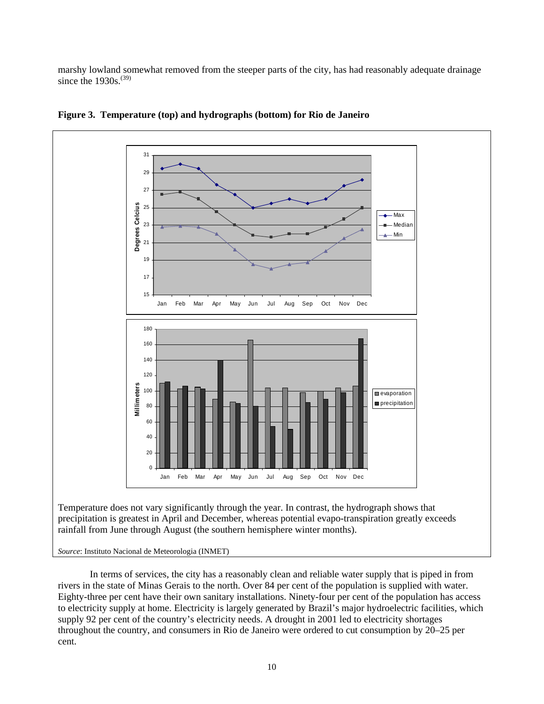marshy lowland somewhat removed from the steeper parts of the city, has had reasonably adequate drainage since the  $1930s$ .<sup>(39)</sup>



**Figure 3. Temperature (top) and hydrographs (bottom) for Rio de Janeiro** 

precipitation is greatest in April and December, whereas potential evapo-transpiration greatly exceeds rainfall from June through August (the southern hemisphere winter months).

*Source*: Instituto Nacional de Meteorologia (INMET)

In terms of services, the city has a reasonably clean and reliable water supply that is piped in from rivers in the state of Minas Gerais to the north. Over 84 per cent of the population is supplied with water. Eighty-three per cent have their own sanitary installations. Ninety-four per cent of the population has access to electricity supply at home. Electricity is largely generated by Brazil's major hydroelectric facilities, which supply 92 per cent of the country's electricity needs. A drought in 2001 led to electricity shortages throughout the country, and consumers in Rio de Janeiro were ordered to cut consumption by 20–25 per cent.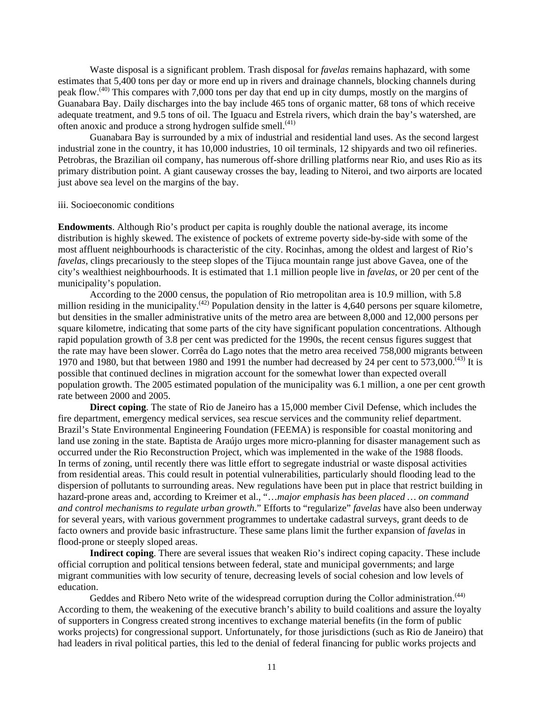Waste disposal is a significant problem. Trash disposal for *favelas* remains haphazard, with some estimates that 5,400 tons per day or more end up in rivers and drainage channels, blocking channels during peak flow.(40) This compares with 7,000 tons per day that end up in city dumps, mostly on the margins of Guanabara Bay. Daily discharges into the bay include 465 tons of organic matter, 68 tons of which receive adequate treatment, and 9.5 tons of oil. The Iguacu and Estrela rivers, which drain the bay's watershed, are often anoxic and produce a strong hydrogen sulfide smell. $(41)$ 

Guanabara Bay is surrounded by a mix of industrial and residential land uses. As the second largest industrial zone in the country, it has 10,000 industries, 10 oil terminals, 12 shipyards and two oil refineries. Petrobras, the Brazilian oil company, has numerous off-shore drilling platforms near Rio, and uses Rio as its primary distribution point. A giant causeway crosses the bay, leading to Niteroi, and two airports are located just above sea level on the margins of the bay.

### iii. Socioeconomic conditions

**Endowments**. Although Rio's product per capita is roughly double the national average, its income distribution is highly skewed. The existence of pockets of extreme poverty side-by-side with some of the most affluent neighbourhoods is characteristic of the city. Rocinhas, among the oldest and largest of Rio's *favelas*, clings precariously to the steep slopes of the Tijuca mountain range just above Gavea, one of the city's wealthiest neighbourhoods. It is estimated that 1.1 million people live in *favelas*, or 20 per cent of the municipality's population.

According to the 2000 census, the population of Rio metropolitan area is 10.9 million, with 5.8 million residing in the municipality.<sup> $(42)$ </sup> Population density in the latter is  $4,640$  persons per square kilometre, but densities in the smaller administrative units of the metro area are between 8,000 and 12,000 persons per square kilometre, indicating that some parts of the city have significant population concentrations. Although rapid population growth of 3.8 per cent was predicted for the 1990s, the recent census figures suggest that the rate may have been slower. Corrêa do Lago notes that the metro area received 758,000 migrants between 1970 and 1980, but that between 1980 and 1991 the number had decreased by 24 per cent to 573,000.<sup>(43)</sup> It is possible that continued declines in migration account for the somewhat lower than expected overall population growth. The 2005 estimated population of the municipality was 6.1 million, a one per cent growth rate between 2000 and 2005.

**Direct coping**. The state of Rio de Janeiro has a 15,000 member Civil Defense, which includes the fire department, emergency medical services, sea rescue services and the community relief department. Brazil's State Environmental Engineering Foundation (FEEMA) is responsible for coastal monitoring and land use zoning in the state. Baptista de Araújo urges more micro-planning for disaster management such as occurred under the Rio Reconstruction Project, which was implemented in the wake of the 1988 floods. In terms of zoning, until recently there was little effort to segregate industrial or waste disposal activities from residential areas. This could result in potential vulnerabilities, particularly should flooding lead to the dispersion of pollutants to surrounding areas. New regulations have been put in place that restrict building in hazard-prone areas and, according to Kreimer et al., "…*major emphasis has been placed … on command and control mechanisms to regulate urban growth*." Efforts to "regularize" *favelas* have also been underway for several years, with various government programmes to undertake cadastral surveys, grant deeds to de facto owners and provide basic infrastructure. These same plans limit the further expansion of *favelas* in flood-prone or steeply sloped areas.

**Indirect coping**. There are several issues that weaken Rio's indirect coping capacity. These include official corruption and political tensions between federal, state and municipal governments; and large migrant communities with low security of tenure, decreasing levels of social cohesion and low levels of education.

Geddes and Ribero Neto write of the widespread corruption during the Collor administration.<sup>(44)</sup> According to them, the weakening of the executive branch's ability to build coalitions and assure the loyalty of supporters in Congress created strong incentives to exchange material benefits (in the form of public works projects) for congressional support. Unfortunately, for those jurisdictions (such as Rio de Janeiro) that had leaders in rival political parties, this led to the denial of federal financing for public works projects and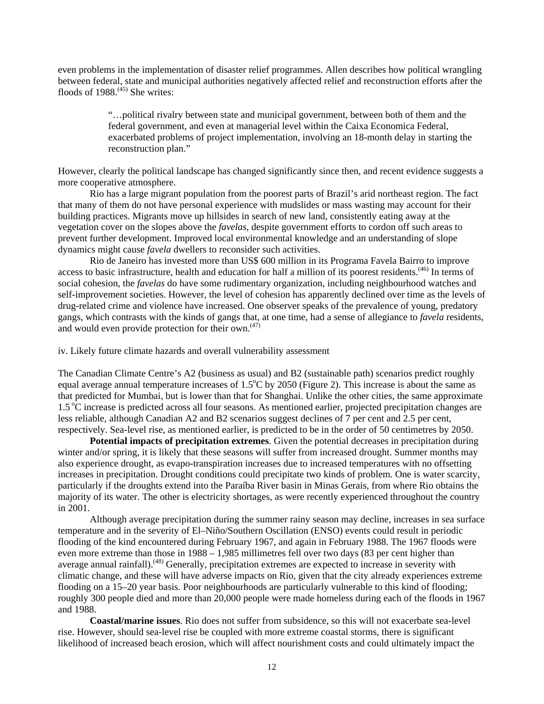even problems in the implementation of disaster relief programmes. Allen describes how political wrangling between federal, state and municipal authorities negatively affected relief and reconstruction efforts after the floods of  $1988$ <sup>(45)</sup> She writes:

> "…political rivalry between state and municipal government, between both of them and the federal government, and even at managerial level within the Caixa Economica Federal, exacerbated problems of project implementation, involving an 18-month delay in starting the reconstruction plan."

However, clearly the political landscape has changed significantly since then, and recent evidence suggests a more cooperative atmosphere.

Rio has a large migrant population from the poorest parts of Brazil's arid northeast region. The fact that many of them do not have personal experience with mudslides or mass wasting may account for their building practices. Migrants move up hillsides in search of new land, consistently eating away at the vegetation cover on the slopes above the *favelas*, despite government efforts to cordon off such areas to prevent further development. Improved local environmental knowledge and an understanding of slope dynamics might cause *favela* dwellers to reconsider such activities.

Rio de Janeiro has invested more than US\$ 600 million in its Programa Favela Bairro to improve access to basic infrastructure, health and education for half a million of its poorest residents.<sup>(46)</sup> In terms of social cohesion, the *favelas* do have some rudimentary organization, including neighbourhood watches and self-improvement societies. However, the level of cohesion has apparently declined over time as the levels of drug-related crime and violence have increased. One observer speaks of the prevalence of young, predatory gangs, which contrasts with the kinds of gangs that, at one time, had a sense of allegiance to *favela* residents, and would even provide protection for their own. $(47)$ 

iv. Likely future climate hazards and overall vulnerability assessment

The Canadian Climate Centre's A2 (business as usual) and B2 (sustainable path) scenarios predict roughly equal average annual temperature increases of  $1.5^{\circ}$ C by 2050 (Figure 2). This increase is about the same as that predicted for Mumbai, but is lower than that for Shanghai. Unlike the other cities, the same approximate  $1.5 \degree$ C increase is predicted across all four seasons. As mentioned earlier, projected precipitation changes are less reliable, although Canadian A2 and B2 scenarios suggest declines of 7 per cent and 2.5 per cent, respectively. Sea-level rise, as mentioned earlier, is predicted to be in the order of 50 centimetres by 2050.

**Potential impacts of precipitation extremes**. Given the potential decreases in precipitation during winter and/or spring, it is likely that these seasons will suffer from increased drought. Summer months may also experience drought, as evapo-transpiration increases due to increased temperatures with no offsetting increases in precipitation. Drought conditions could precipitate two kinds of problem. One is water scarcity, particularly if the droughts extend into the Paraíba River basin in Minas Gerais, from where Rio obtains the majority of its water. The other is electricity shortages, as were recently experienced throughout the country in 2001.

Although average precipitation during the summer rainy season may decline, increases in sea surface temperature and in the severity of El–Niño/Southern Oscillation (ENSO) events could result in periodic flooding of the kind encountered during February 1967, and again in February 1988. The 1967 floods were even more extreme than those in 1988 – 1,985 millimetres fell over two days (83 per cent higher than average annual rainfall).<sup>(48)</sup> Generally, precipitation extremes are expected to increase in severity with climatic change, and these will have adverse impacts on Rio, given that the city already experiences extreme flooding on a 15–20 year basis. Poor neighbourhoods are particularly vulnerable to this kind of flooding; roughly 300 people died and more than 20,000 people were made homeless during each of the floods in 1967 and 1988.

**Coastal/marine issues**. Rio does not suffer from subsidence, so this will not exacerbate sea-level rise. However, should sea-level rise be coupled with more extreme coastal storms, there is significant likelihood of increased beach erosion, which will affect nourishment costs and could ultimately impact the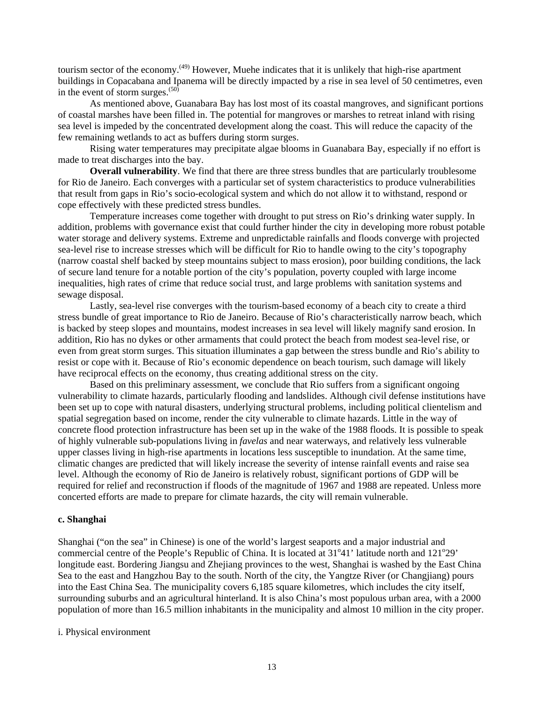tourism sector of the economy.<sup>(49)</sup> However, Muehe indicates that it is unlikely that high-rise apartment buildings in Copacabana and Ipanema will be directly impacted by a rise in sea level of 50 centimetres, even in the event of storm surges.<sup>(50)</sup>

As mentioned above, Guanabara Bay has lost most of its coastal mangroves, and significant portions of coastal marshes have been filled in. The potential for mangroves or marshes to retreat inland with rising sea level is impeded by the concentrated development along the coast. This will reduce the capacity of the few remaining wetlands to act as buffers during storm surges.

Rising water temperatures may precipitate algae blooms in Guanabara Bay, especially if no effort is made to treat discharges into the bay.

**Overall vulnerability**. We find that there are three stress bundles that are particularly troublesome for Rio de Janeiro. Each converges with a particular set of system characteristics to produce vulnerabilities that result from gaps in Rio's socio-ecological system and which do not allow it to withstand, respond or cope effectively with these predicted stress bundles.

Temperature increases come together with drought to put stress on Rio's drinking water supply. In addition, problems with governance exist that could further hinder the city in developing more robust potable water storage and delivery systems. Extreme and unpredictable rainfalls and floods converge with projected sea-level rise to increase stresses which will be difficult for Rio to handle owing to the city's topography (narrow coastal shelf backed by steep mountains subject to mass erosion), poor building conditions, the lack of secure land tenure for a notable portion of the city's population, poverty coupled with large income inequalities, high rates of crime that reduce social trust, and large problems with sanitation systems and sewage disposal.

Lastly, sea-level rise converges with the tourism-based economy of a beach city to create a third stress bundle of great importance to Rio de Janeiro. Because of Rio's characteristically narrow beach, which is backed by steep slopes and mountains, modest increases in sea level will likely magnify sand erosion. In addition, Rio has no dykes or other armaments that could protect the beach from modest sea-level rise, or even from great storm surges. This situation illuminates a gap between the stress bundle and Rio's ability to resist or cope with it. Because of Rio's economic dependence on beach tourism, such damage will likely have reciprocal effects on the economy, thus creating additional stress on the city.

Based on this preliminary assessment, we conclude that Rio suffers from a significant ongoing vulnerability to climate hazards, particularly flooding and landslides. Although civil defense institutions have been set up to cope with natural disasters, underlying structural problems, including political clientelism and spatial segregation based on income, render the city vulnerable to climate hazards. Little in the way of concrete flood protection infrastructure has been set up in the wake of the 1988 floods. It is possible to speak of highly vulnerable sub-populations living in *favelas* and near waterways, and relatively less vulnerable upper classes living in high-rise apartments in locations less susceptible to inundation. At the same time, climatic changes are predicted that will likely increase the severity of intense rainfall events and raise sea level. Although the economy of Rio de Janeiro is relatively robust, significant portions of GDP will be required for relief and reconstruction if floods of the magnitude of 1967 and 1988 are repeated. Unless more concerted efforts are made to prepare for climate hazards, the city will remain vulnerable.

### **c. Shanghai**

Shanghai ("on the sea" in Chinese) is one of the world's largest seaports and a major industrial and commercial centre of the People's Republic of China. It is located at 31°41' latitude north and 121°29' longitude east. Bordering Jiangsu and Zhejiang provinces to the west, Shanghai is washed by the East China Sea to the east and Hangzhou Bay to the south. North of the city, the Yangtze River (or Changjiang) pours into the East China Sea. The municipality covers 6,185 square kilometres, which includes the city itself, surrounding suburbs and an agricultural hinterland. It is also China's most populous urban area, with a 2000 population of more than 16.5 million inhabitants in the municipality and almost 10 million in the city proper.

#### i. Physical environment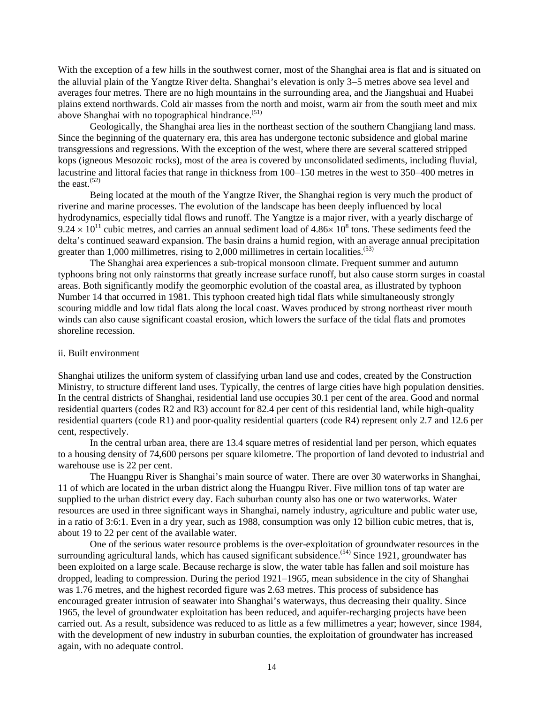With the exception of a few hills in the southwest corner, most of the Shanghai area is flat and is situated on the alluvial plain of the Yangtze River delta. Shanghai's elevation is only 3−5 metres above sea level and averages four metres. There are no high mountains in the surrounding area, and the Jiangshuai and Huabei plains extend northwards. Cold air masses from the north and moist, warm air from the south meet and mix above Shanghai with no topographical hindrance.<sup>(51)</sup>

Geologically, the Shanghai area lies in the northeast section of the southern Changjiang land mass. Since the beginning of the quaternary era, this area has undergone tectonic subsidence and global marine transgressions and regressions. With the exception of the west, where there are several scattered stripped kops (igneous Mesozoic rocks), most of the area is covered by unconsolidated sediments, including fluvial, lacustrine and littoral facies that range in thickness from 100−150 metres in the west to 350−400 metres in the east.<sup>(52)</sup>

Being located at the mouth of the Yangtze River, the Shanghai region is very much the product of riverine and marine processes. The evolution of the landscape has been deeply influenced by local hydrodynamics, especially tidal flows and runoff. The Yangtze is a major river, with a yearly discharge of  $9.24 \times 10^{11}$  cubic metres, and carries an annual sediment load of 4.86 $\times$  10<sup>8</sup> tons. These sediments feed the delta's continued seaward expansion. The basin drains a humid region, with an average annual precipitation greater than  $1,000$  millimetres, rising to  $2,000$  millimetres in certain localities.<sup> $(53)$ </sup>

The Shanghai area experiences a sub-tropical monsoon climate. Frequent summer and autumn typhoons bring not only rainstorms that greatly increase surface runoff, but also cause storm surges in coastal areas. Both significantly modify the geomorphic evolution of the coastal area, as illustrated by typhoon Number 14 that occurred in 1981. This typhoon created high tidal flats while simultaneously strongly scouring middle and low tidal flats along the local coast. Waves produced by strong northeast river mouth winds can also cause significant coastal erosion, which lowers the surface of the tidal flats and promotes shoreline recession.

## ii. Built environment

Shanghai utilizes the uniform system of classifying urban land use and codes, created by the Construction Ministry, to structure different land uses. Typically, the centres of large cities have high population densities. In the central districts of Shanghai, residential land use occupies 30.1 per cent of the area. Good and normal residential quarters (codes R2 and R3) account for 82.4 per cent of this residential land, while high-quality residential quarters (code R1) and poor-quality residential quarters (code R4) represent only 2.7 and 12.6 per cent, respectively.

In the central urban area, there are 13.4 square metres of residential land per person, which equates to a housing density of 74,600 persons per square kilometre. The proportion of land devoted to industrial and warehouse use is 22 per cent.

The Huangpu River is Shanghai's main source of water. There are over 30 waterworks in Shanghai, 11 of which are located in the urban district along the Huangpu River. Five million tons of tap water are supplied to the urban district every day. Each suburban county also has one or two waterworks. Water resources are used in three significant ways in Shanghai, namely industry, agriculture and public water use, in a ratio of 3:6:1. Even in a dry year, such as 1988, consumption was only 12 billion cubic metres, that is, about 19 to 22 per cent of the available water.

One of the serious water resource problems is the over-exploitation of groundwater resources in the surrounding agricultural lands, which has caused significant subsidence.<sup>(54)</sup> Since 1921, groundwater has been exploited on a large scale. Because recharge is slow, the water table has fallen and soil moisture has dropped, leading to compression. During the period 1921−1965, mean subsidence in the city of Shanghai was 1.76 metres, and the highest recorded figure was 2.63 metres. This process of subsidence has encouraged greater intrusion of seawater into Shanghai's waterways, thus decreasing their quality. Since 1965, the level of groundwater exploitation has been reduced, and aquifer-recharging projects have been carried out. As a result, subsidence was reduced to as little as a few millimetres a year; however, since 1984, with the development of new industry in suburban counties, the exploitation of groundwater has increased again, with no adequate control.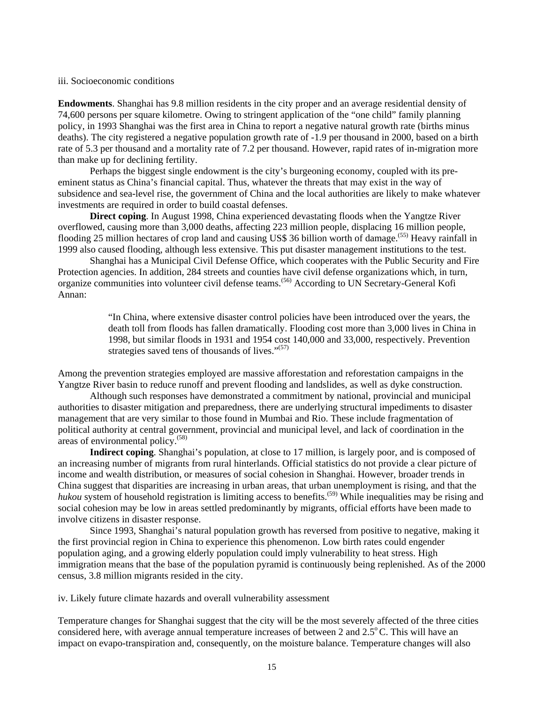#### iii. Socioeconomic conditions

**Endowments**. Shanghai has 9.8 million residents in the city proper and an average residential density of 74,600 persons per square kilometre. Owing to stringent application of the "one child" family planning policy, in 1993 Shanghai was the first area in China to report a negative natural growth rate (births minus deaths). The city registered a negative population growth rate of -1.9 per thousand in 2000, based on a birth rate of 5.3 per thousand and a mortality rate of 7.2 per thousand. However, rapid rates of in-migration more than make up for declining fertility.

Perhaps the biggest single endowment is the city's burgeoning economy, coupled with its preeminent status as China's financial capital. Thus, whatever the threats that may exist in the way of subsidence and sea-level rise, the government of China and the local authorities are likely to make whatever investments are required in order to build coastal defenses.

**Direct coping**. In August 1998, China experienced devastating floods when the Yangtze River overflowed, causing more than 3,000 deaths, affecting 223 million people, displacing 16 million people, flooding 25 million hectares of crop land and causing US\$ 36 billion worth of damage.<sup>(55)</sup> Heavy rainfall in 1999 also caused flooding, although less extensive. This put disaster management institutions to the test.

Shanghai has a Municipal Civil Defense Office, which cooperates with the Public Security and Fire Protection agencies. In addition, 284 streets and counties have civil defense organizations which, in turn, organize communities into volunteer civil defense teams.(56) According to UN Secretary-General Kofi Annan:

> "In China, where extensive disaster control policies have been introduced over the years, the death toll from floods has fallen dramatically. Flooding cost more than 3,000 lives in China in 1998, but similar floods in 1931 and 1954 cost 140,000 and 33,000, respectively. Prevention strategies saved tens of thousands of lives."<sup>(57)</sup>

Among the prevention strategies employed are massive afforestation and reforestation campaigns in the Yangtze River basin to reduce runoff and prevent flooding and landslides, as well as dyke construction.

Although such responses have demonstrated a commitment by national, provincial and municipal authorities to disaster mitigation and preparedness, there are underlying structural impediments to disaster management that are very similar to those found in Mumbai and Rio. These include fragmentation of political authority at central government, provincial and municipal level, and lack of coordination in the areas of environmental policy.(58)

**Indirect coping**. Shanghai's population, at close to 17 million, is largely poor, and is composed of an increasing number of migrants from rural hinterlands. Official statistics do not provide a clear picture of income and wealth distribution, or measures of social cohesion in Shanghai. However, broader trends in China suggest that disparities are increasing in urban areas, that urban unemployment is rising, and that the *hukou* system of household registration is limiting access to benefits.<sup>(59)</sup> While inequalities may be rising and social cohesion may be low in areas settled predominantly by migrants, official efforts have been made to involve citizens in disaster response.

Since 1993, Shanghai's natural population growth has reversed from positive to negative, making it the first provincial region in China to experience this phenomenon. Low birth rates could engender population aging, and a growing elderly population could imply vulnerability to heat stress. High immigration means that the base of the population pyramid is continuously being replenished. As of the 2000 census, 3.8 million migrants resided in the city.

iv. Likely future climate hazards and overall vulnerability assessment

Temperature changes for Shanghai suggest that the city will be the most severely affected of the three cities considered here, with average annual temperature increases of between 2 and  $2.5^{\circ}$ C. This will have an impact on evapo-transpiration and, consequently, on the moisture balance. Temperature changes will also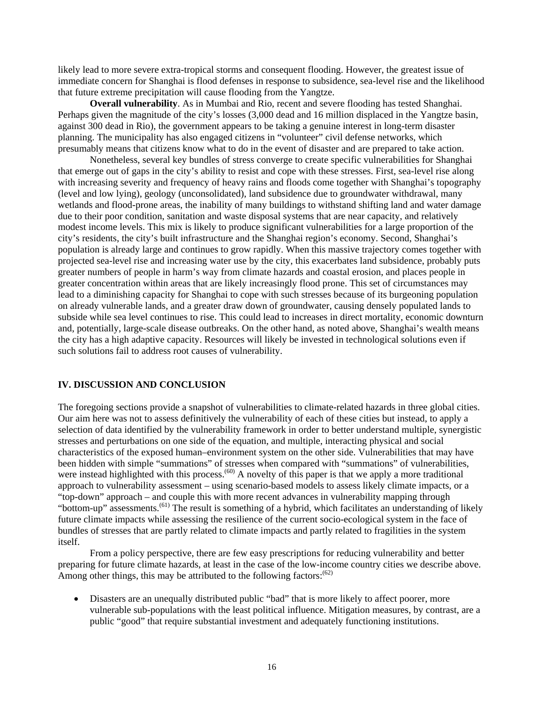likely lead to more severe extra-tropical storms and consequent flooding. However, the greatest issue of immediate concern for Shanghai is flood defenses in response to subsidence, sea-level rise and the likelihood that future extreme precipitation will cause flooding from the Yangtze.

**Overall vulnerability**. As in Mumbai and Rio, recent and severe flooding has tested Shanghai. Perhaps given the magnitude of the city's losses (3,000 dead and 16 million displaced in the Yangtze basin, against 300 dead in Rio), the government appears to be taking a genuine interest in long-term disaster planning. The municipality has also engaged citizens in "volunteer" civil defense networks, which presumably means that citizens know what to do in the event of disaster and are prepared to take action.

Nonetheless, several key bundles of stress converge to create specific vulnerabilities for Shanghai that emerge out of gaps in the city's ability to resist and cope with these stresses. First, sea-level rise along with increasing severity and frequency of heavy rains and floods come together with Shanghai's topography (level and low lying), geology (unconsolidated), land subsidence due to groundwater withdrawal, many wetlands and flood-prone areas, the inability of many buildings to withstand shifting land and water damage due to their poor condition, sanitation and waste disposal systems that are near capacity, and relatively modest income levels. This mix is likely to produce significant vulnerabilities for a large proportion of the city's residents, the city's built infrastructure and the Shanghai region's economy. Second, Shanghai's population is already large and continues to grow rapidly. When this massive trajectory comes together with projected sea-level rise and increasing water use by the city, this exacerbates land subsidence, probably puts greater numbers of people in harm's way from climate hazards and coastal erosion, and places people in greater concentration within areas that are likely increasingly flood prone. This set of circumstances may lead to a diminishing capacity for Shanghai to cope with such stresses because of its burgeoning population on already vulnerable lands, and a greater draw down of groundwater, causing densely populated lands to subside while sea level continues to rise. This could lead to increases in direct mortality, economic downturn and, potentially, large-scale disease outbreaks. On the other hand, as noted above, Shanghai's wealth means the city has a high adaptive capacity. Resources will likely be invested in technological solutions even if such solutions fail to address root causes of vulnerability.

### **IV. DISCUSSION AND CONCLUSION**

The foregoing sections provide a snapshot of vulnerabilities to climate-related hazards in three global cities. Our aim here was not to assess definitively the vulnerability of each of these cities but instead, to apply a selection of data identified by the vulnerability framework in order to better understand multiple, synergistic stresses and perturbations on one side of the equation, and multiple, interacting physical and social characteristics of the exposed human–environment system on the other side. Vulnerabilities that may have been hidden with simple "summations" of stresses when compared with "summations" of vulnerabilities, were instead highlighted with this process.<sup> $(60)$ </sup> A novelty of this paper is that we apply a more traditional approach to vulnerability assessment – using scenario-based models to assess likely climate impacts, or a "top-down" approach – and couple this with more recent advances in vulnerability mapping through "bottom-up" assessments.<sup>(61)</sup> The result is something of a hybrid, which facilitates an understanding of likely future climate impacts while assessing the resilience of the current socio-ecological system in the face of bundles of stresses that are partly related to climate impacts and partly related to fragilities in the system itself.

From a policy perspective, there are few easy prescriptions for reducing vulnerability and better preparing for future climate hazards, at least in the case of the low-income country cities we describe above. Among other things, this may be attributed to the following factors: $(62)$ 

• Disasters are an unequally distributed public "bad" that is more likely to affect poorer, more vulnerable sub-populations with the least political influence. Mitigation measures, by contrast, are a public "good" that require substantial investment and adequately functioning institutions.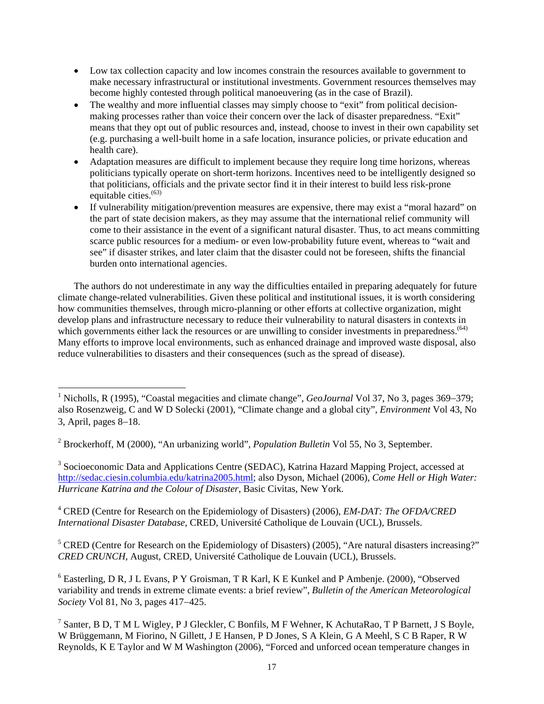- Low tax collection capacity and low incomes constrain the resources available to government to make necessary infrastructural or institutional investments. Government resources themselves may become highly contested through political manoeuvering (as in the case of Brazil).
- The wealthy and more influential classes may simply choose to "exit" from political decisionmaking processes rather than voice their concern over the lack of disaster preparedness. "Exit" means that they opt out of public resources and, instead, choose to invest in their own capability set (e.g. purchasing a well-built home in a safe location, insurance policies, or private education and health care).
- Adaptation measures are difficult to implement because they require long time horizons, whereas politicians typically operate on short-term horizons. Incentives need to be intelligently designed so that politicians, officials and the private sector find it in their interest to build less risk-prone equitable cities.<sup>(63)</sup>
- If vulnerability mitigation/prevention measures are expensive, there may exist a "moral hazard" on the part of state decision makers, as they may assume that the international relief community will come to their assistance in the event of a significant natural disaster. Thus, to act means committing scarce public resources for a medium- or even low-probability future event, whereas to "wait and see" if disaster strikes, and later claim that the disaster could not be foreseen, shifts the financial burden onto international agencies.

The authors do not underestimate in any way the difficulties entailed in preparing adequately for future climate change-related vulnerabilities. Given these political and institutional issues, it is worth considering how communities themselves, through micro-planning or other efforts at collective organization, might develop plans and infrastructure necessary to reduce their vulnerability to natural disasters in contexts in which governments either lack the resources or are unwilling to consider investments in preparedness.<sup>(64)</sup> Many efforts to improve local environments, such as enhanced drainage and improved waste disposal, also reduce vulnerabilities to disasters and their consequences (such as the spread of disease).

l

<sup>3</sup> Socioeconomic Data and Applications Centre (SEDAC), Katrina Hazard Mapping Project, accessed at http://sedac.ciesin.columbia.edu/katrina2005.html; also Dyson, Michael (2006), *Come Hell or High Water: Hurricane Katrina and the Colour of Disaster*, Basic Civitas, New York.

4 CRED (Centre for Research on the Epidemiology of Disasters) (2006), *EM-DAT: The OFDA/CRED International Disaster Database*, CRED, Université Catholique de Louvain (UCL), Brussels.

<sup>5</sup> CRED (Centre for Research on the Epidemiology of Disasters) (2005), "Are natural disasters increasing?" *CRED CRUNCH*, August, CRED, Université Catholique de Louvain (UCL), Brussels.

<sup>6</sup> Easterling, D R, J L Evans, P Y Groisman, T R Karl, K E Kunkel and P Ambenje. (2000), "Observed variability and trends in extreme climate events: a brief review", *Bulletin of the American Meteorological Society* Vol 81, No 3, pages 417−425.

<sup>1</sup> Nicholls, R (1995), "Coastal megacities and climate change", *GeoJournal* Vol 37, No 3, pages 369−379; also Rosenzweig, C and W D Solecki (2001), "Climate change and a global city", *Environment* Vol 43, No 3, April, pages 8−18.

<sup>2</sup> Brockerhoff, M (2000), "An urbanizing world", *Population Bulletin* Vol 55, No 3, September.

<sup>7</sup> Santer, B D, T M L Wigley, P J Gleckler, C Bonfils, M F Wehner, K AchutaRao, T P Barnett, J S Boyle, W Brüggemann, M Fiorino, N Gillett, J E Hansen, P D Jones, S A Klein, G A Meehl, S C B Raper, R W Reynolds, K E Taylor and W M Washington (2006), "Forced and unforced ocean temperature changes in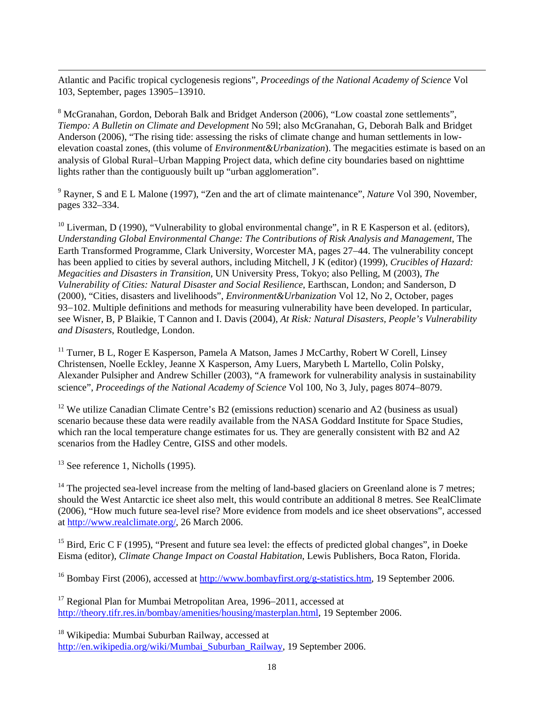-Atlantic and Pacific tropical cyclogenesis regions", *Proceedings of the National Academy of Science* Vol 103, September, pages 13905−13910.

<sup>8</sup> McGranahan, Gordon, Deborah Balk and Bridget Anderson (2006), "Low coastal zone settlements", *Tiempo: A Bulletin on Climate and Development* No 59l; also McGranahan, G, Deborah Balk and Bridget Anderson (2006), "The rising tide: assessing the risks of climate change and human settlements in lowelevation coastal zones, (this volume of *Environment&Urbanization*). The megacities estimate is based on an analysis of Global Rural−Urban Mapping Project data, which define city boundaries based on nighttime lights rather than the contiguously built up "urban agglomeration".

9 Rayner, S and E L Malone (1997), "Zen and the art of climate maintenance", *Nature* Vol 390, November, pages 332–334.

<sup>10</sup> Liverman, D (1990), "Vulnerability to global environmental change", in R E Kasperson et al. (editors), *Understanding Global Environmental Change: The Contributions of Risk Analysis and Management*, The Earth Transformed Programme, Clark University, Worcester MA, pages 27−44. The vulnerability concept has been applied to cities by several authors, including Mitchell, J K (editor) (1999), *Crucibles of Hazard: Megacities and Disasters in Transition*, UN University Press, Tokyo; also Pelling, M (2003), *The Vulnerability of Cities: Natural Disaster and Social Resilience*, Earthscan, London; and Sanderson, D (2000), "Cities, disasters and livelihoods", *Environment&Urbanization* Vol 12, No 2, October, pages 93–102. Multiple definitions and methods for measuring vulnerability have been developed. In particular, see Wisner, B, P Blaikie, T Cannon and I. Davis (2004), *At Risk: Natural Disasters, People's Vulnerability and Disasters*, Routledge, London.

<sup>11</sup> Turner, B L, Roger E Kasperson, Pamela A Matson, James J McCarthy, Robert W Corell, Linsey Christensen, Noelle Eckley, Jeanne X Kasperson, Amy Luers, Marybeth L Martello, Colin Polsky, Alexander Pulsipher and Andrew Schiller (2003), "A framework for vulnerability analysis in sustainability science", *Proceedings of the National Academy of Science* Vol 100, No 3, July, pages 8074−8079.

<sup>12</sup> We utilize Canadian Climate Centre's B2 (emissions reduction) scenario and A2 (business as usual) scenario because these data were readily available from the NASA Goddard Institute for Space Studies, which ran the local temperature change estimates for us. They are generally consistent with B2 and A2 scenarios from the Hadley Centre, GISS and other models.

 $13$  See reference 1, Nicholls (1995).

 $14$  The projected sea-level increase from the melting of land-based glaciers on Greenland alone is 7 metres; should the West Antarctic ice sheet also melt, this would contribute an additional 8 metres. See RealClimate (2006), "How much future sea-level rise? More evidence from models and ice sheet observations", accessed at http://www.realclimate.org/, 26 March 2006.

<sup>15</sup> Bird, Eric C F (1995), "Present and future sea level: the effects of predicted global changes", in Doeke Eisma (editor), *Climate Change Impact on Coastal Habitation*, Lewis Publishers, Boca Raton, Florida.

<sup>16</sup> Bombay First (2006), accessed at http://www.bombayfirst.org/g-statistics.htm, 19 September 2006.

17 Regional Plan for Mumbai Metropolitan Area, 1996−2011, accessed at http://theory.tifr.res.in/bombay/amenities/housing/masterplan.html, 19 September 2006.

18 Wikipedia: Mumbai Suburban Railway, accessed at http://en.wikipedia.org/wiki/Mumbai\_Suburban\_Railway, 19 September 2006.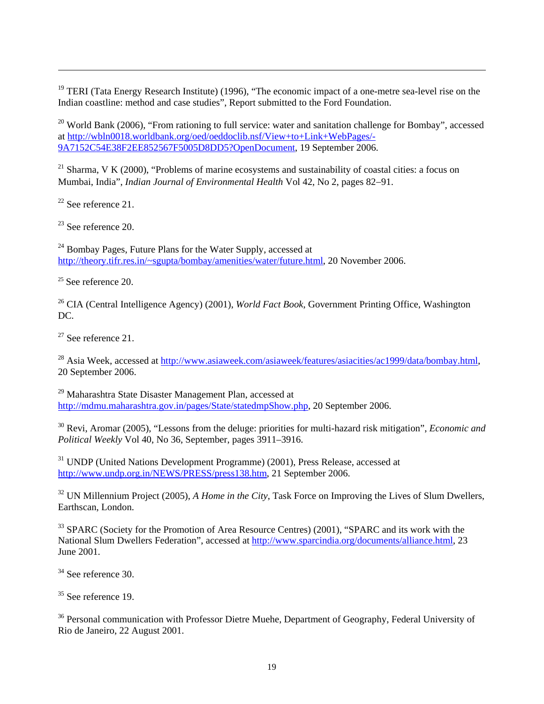<sup>19</sup> TERI (Tata Energy Research Institute) (1996), "The economic impact of a one-metre sea-level rise on the Indian coastline: method and case studies", Report submitted to the Ford Foundation.

<sup>20</sup> World Bank (2006), "From rationing to full service: water and sanitation challenge for Bombay", accessed at http://wbln0018.worldbank.org/oed/oeddoclib.nsf/View+to+Link+WebPages/- 9A7152C54E38F2EE852567F5005D8DD5?OpenDocument, 19 September 2006.

<sup>21</sup> Sharma, V K (2000), "Problems of marine ecosystems and sustainability of coastal cities: a focus on Mumbai, India", *Indian Journal of Environmental Health* Vol 42, No 2, pages 82−91.

 $22$  See reference 21.

-

 $23$  See reference 20.

<sup>24</sup> Bombay Pages, Future Plans for the Water Supply, accessed at http://theory.tifr.res.in/~sgupta/bombay/amenities/water/future.html, 20 November 2006.

 $25$  See reference 20.

26 CIA (Central Intelligence Agency) (2001), *World Fact Book*, Government Printing Office, Washington DC.

<sup>27</sup> See reference 21.

<sup>28</sup> Asia Week, accessed at http://www.asiaweek.com/asiaweek/features/asiacities/ac1999/data/bombay.html, 20 September 2006.

29 Maharashtra State Disaster Management Plan, accessed at http://mdmu.maharashtra.gov.in/pages/State/statedmpShow.php, 20 September 2006.

30 Revi, Aromar (2005), "Lessons from the deluge: priorities for multi-hazard risk mitigation", *Economic and Political Weekly* Vol 40, No 36, September, pages 3911–3916.

<sup>31</sup> UNDP (United Nations Development Programme) (2001), Press Release, accessed at http://www.undp.org.in/NEWS/PRESS/press138.htm, 21 September 2006.

32 UN Millennium Project (2005), *A Home in the City*, Task Force on Improving the Lives of Slum Dwellers, Earthscan, London.

<sup>33</sup> SPARC (Society for the Promotion of Area Resource Centres) (2001), "SPARC and its work with the National Slum Dwellers Federation", accessed at http://www.sparcindia.org/documents/alliance.html, 23 June 2001.

<sup>34</sup> See reference 30.

 $35$  See reference 19.

<sup>36</sup> Personal communication with Professor Dietre Muehe, Department of Geography, Federal University of Rio de Janeiro, 22 August 2001.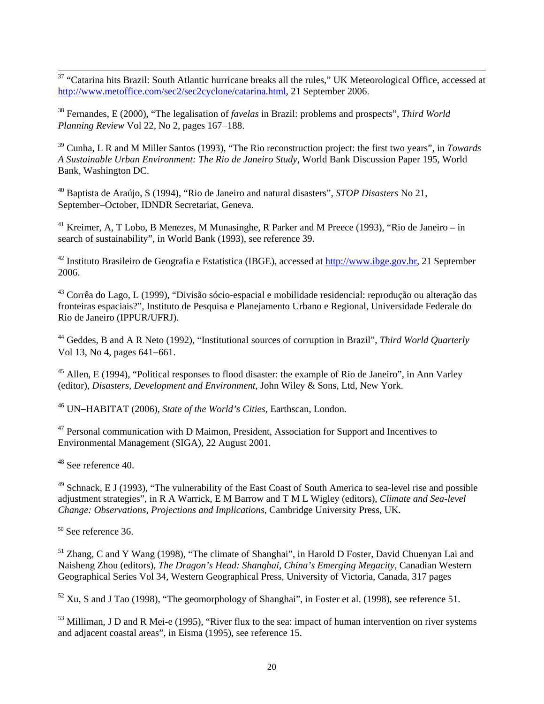<sup>37</sup> "Catarina hits Brazil: South Atlantic hurricane breaks all the rules," UK Meteorological Office, accessed at http://www.metoffice.com/sec2/sec2cyclone/catarina.html, 21 September 2006.

38 Fernandes, E (2000), "The legalisation of *favelas* in Brazil: problems and prospects", *Third World Planning Review* Vol 22, No 2, pages 167−188.

39 Cunha, L R and M Miller Santos (1993), "The Rio reconstruction project: the first two years", in *Towards A Sustainable Urban Environment: The Rio de Janeiro Study*, World Bank Discussion Paper 195, World Bank, Washington DC.

40 Baptista de Araújo, S (1994), "Rio de Janeiro and natural disasters", *STOP Disasters* No 21, September−October, IDNDR Secretariat, Geneva.

<sup>41</sup> Kreimer, A, T Lobo, B Menezes, M Munasinghe, R Parker and M Preece (1993), "Rio de Janeiro – in search of sustainability", in World Bank (1993), see reference 39.

<sup>42</sup> Instituto Brasileiro de Geografia e Estatistica (IBGE), accessed at http://www.ibge.gov.br, 21 September 2006.

43 Corrêa do Lago, L (1999), "Divisão sócio-espacial e mobilidade residencial: reprodução ou alteração das fronteiras espaciais?", Instituto de Pesquisa e Planejamento Urbano e Regional, Universidade Federale do Rio de Janeiro (IPPUR/UFRJ).

44 Geddes, B and A R Neto (1992), "Institutional sources of corruption in Brazil", *Third World Quarterly* Vol 13, No 4, pages 641−661.

<sup>45</sup> Allen, E (1994), "Political responses to flood disaster: the example of Rio de Janeiro", in Ann Varley (editor), *Disasters, Development and Environment*, John Wiley & Sons, Ltd, New York.

46 UN−HABITAT (2006), *State of the World's Cities*, Earthscan, London.

 $47$  Personal communication with D Maimon, President, Association for Support and Incentives to Environmental Management (SIGA), 22 August 2001.

48 See reference 40.

<sup>49</sup> Schnack, E J (1993), "The vulnerability of the East Coast of South America to sea-level rise and possible adjustment strategies", in R A Warrick, E M Barrow and T M L Wigley (editors), *Climate and Sea-level Change: Observations, Projections and Implications*, Cambridge University Press, UK.

<sup>50</sup> See reference 36.

<sup>51</sup> Zhang, C and Y Wang (1998), "The climate of Shanghai", in Harold D Foster, David Chuenyan Lai and Naisheng Zhou (editors), *The Dragon's Head: Shanghai, China's Emerging Megacity*, Canadian Western Geographical Series Vol 34, Western Geographical Press, University of Victoria, Canada, 317 pages

 $52$  Xu, S and J Tao (1998), "The geomorphology of Shanghai", in Foster et al. (1998), see reference 51.

<sup>53</sup> Milliman, J D and R Mei-e (1995), "River flux to the sea: impact of human intervention on river systems and adjacent coastal areas", in Eisma (1995), see reference 15.